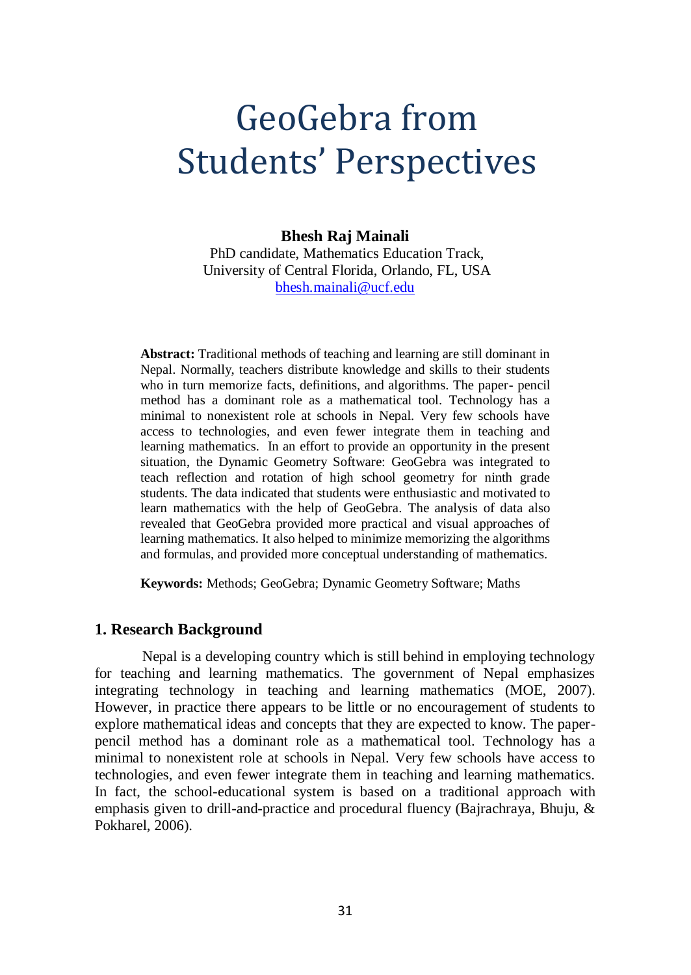# GeoGebra from Students' Perspectives

#### **Bhesh Raj Mainali**

PhD candidate, Mathematics Education Track, University of Central Florida, Orlando, FL, USA [bhesh.mainali@ucf.edu](mailto:bhesh.mainali@ucf.edu)

**Abstract:** Traditional methods of teaching and learning are still dominant in Nepal. Normally, teachers distribute knowledge and skills to their students who in turn memorize facts, definitions, and algorithms. The paper- pencil method has a dominant role as a mathematical tool. Technology has a minimal to nonexistent role at schools in Nepal. Very few schools have access to technologies, and even fewer integrate them in teaching and learning mathematics. In an effort to provide an opportunity in the present situation, the Dynamic Geometry Software: GeoGebra was integrated to teach reflection and rotation of high school geometry for ninth grade students. The data indicated that students were enthusiastic and motivated to learn mathematics with the help of GeoGebra. The analysis of data also revealed that GeoGebra provided more practical and visual approaches of learning mathematics. It also helped to minimize memorizing the algorithms and formulas, and provided more conceptual understanding of mathematics.

**Keywords:** Methods; GeoGebra; Dynamic Geometry Software; Maths

#### **1. Research Background**

Nepal is a developing country which is still behind in employing technology for teaching and learning mathematics. The government of Nepal emphasizes integrating technology in teaching and learning mathematics (MOE, 2007). However, in practice there appears to be little or no encouragement of students to explore mathematical ideas and concepts that they are expected to know. The paperpencil method has a dominant role as a mathematical tool. Technology has a minimal to nonexistent role at schools in Nepal. Very few schools have access to technologies, and even fewer integrate them in teaching and learning mathematics. In fact, the school-educational system is based on a traditional approach with emphasis given to drill-and-practice and procedural fluency (Bajrachraya, Bhuju, & Pokharel, 2006).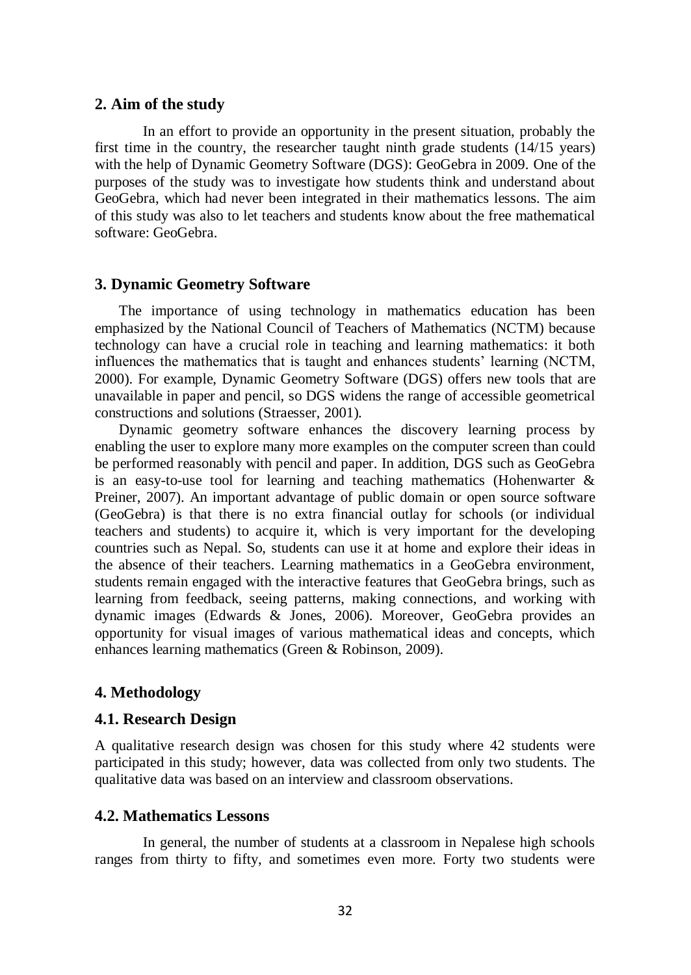#### **2. Aim of the study**

In an effort to provide an opportunity in the present situation, probably the first time in the country, the researcher taught ninth grade students (14/15 years) with the help of Dynamic Geometry Software (DGS): GeoGebra in 2009. One of the purposes of the study was to investigate how students think and understand about GeoGebra, which had never been integrated in their mathematics lessons. The aim of this study was also to let teachers and students know about the free mathematical software: GeoGebra.

# **3. Dynamic Geometry Software**

The importance of using technology in mathematics education has been emphasized by the National Council of Teachers of Mathematics (NCTM) because technology can have a crucial role in teaching and learning mathematics: it both influences the mathematics that is taught and enhances students' learning (NCTM, 2000). For example, Dynamic Geometry Software (DGS) offers new tools that are unavailable in paper and pencil, so DGS widens the range of accessible geometrical constructions and solutions (Straesser, 2001).

Dynamic geometry software enhances the discovery learning process by enabling the user to explore many more examples on the computer screen than could be performed reasonably with pencil and paper. In addition, DGS such as GeoGebra is an easy-to-use tool for learning and teaching mathematics (Hohenwarter & Preiner, 2007). An important advantage of public domain or open source software (GeoGebra) is that there is no extra financial outlay for schools (or individual teachers and students) to acquire it, which is very important for the developing countries such as Nepal. So, students can use it at home and explore their ideas in the absence of their teachers. Learning mathematics in a GeoGebra environment, students remain engaged with the interactive features that GeoGebra brings, such as learning from feedback, seeing patterns, making connections, and working with dynamic images (Edwards & Jones, 2006). Moreover, GeoGebra provides an opportunity for visual images of various mathematical ideas and concepts, which enhances learning mathematics (Green & Robinson, 2009).

# **4. Methodology**

#### **4.1. Research Design**

A qualitative research design was chosen for this study where 42 students were participated in this study; however, data was collected from only two students. The qualitative data was based on an interview and classroom observations.

#### **4.2. Mathematics Lessons**

In general, the number of students at a classroom in Nepalese high schools ranges from thirty to fifty, and sometimes even more. Forty two students were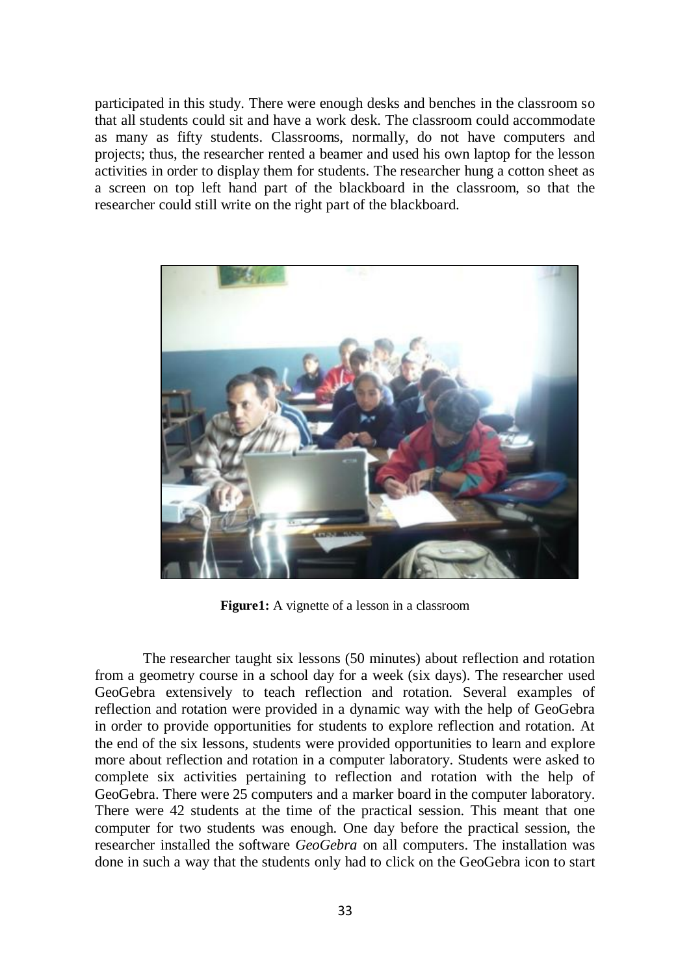participated in this study. There were enough desks and benches in the classroom so that all students could sit and have a work desk. The classroom could accommodate as many as fifty students. Classrooms, normally, do not have computers and projects; thus, the researcher rented a beamer and used his own laptop for the lesson activities in order to display them for students. The researcher hung a cotton sheet as a screen on top left hand part of the blackboard in the classroom, so that the researcher could still write on the right part of the blackboard.



**Figure1:** A vignette of a lesson in a classroom

The researcher taught six lessons (50 minutes) about reflection and rotation from a geometry course in a school day for a week (six days). The researcher used GeoGebra extensively to teach reflection and rotation. Several examples of reflection and rotation were provided in a dynamic way with the help of GeoGebra in order to provide opportunities for students to explore reflection and rotation. At the end of the six lessons, students were provided opportunities to learn and explore more about reflection and rotation in a computer laboratory. Students were asked to complete six activities pertaining to reflection and rotation with the help of GeoGebra. There were 25 computers and a marker board in the computer laboratory. There were 42 students at the time of the practical session. This meant that one computer for two students was enough. One day before the practical session, the researcher installed the software *GeoGebra* on all computers. The installation was done in such a way that the students only had to click on the GeoGebra icon to start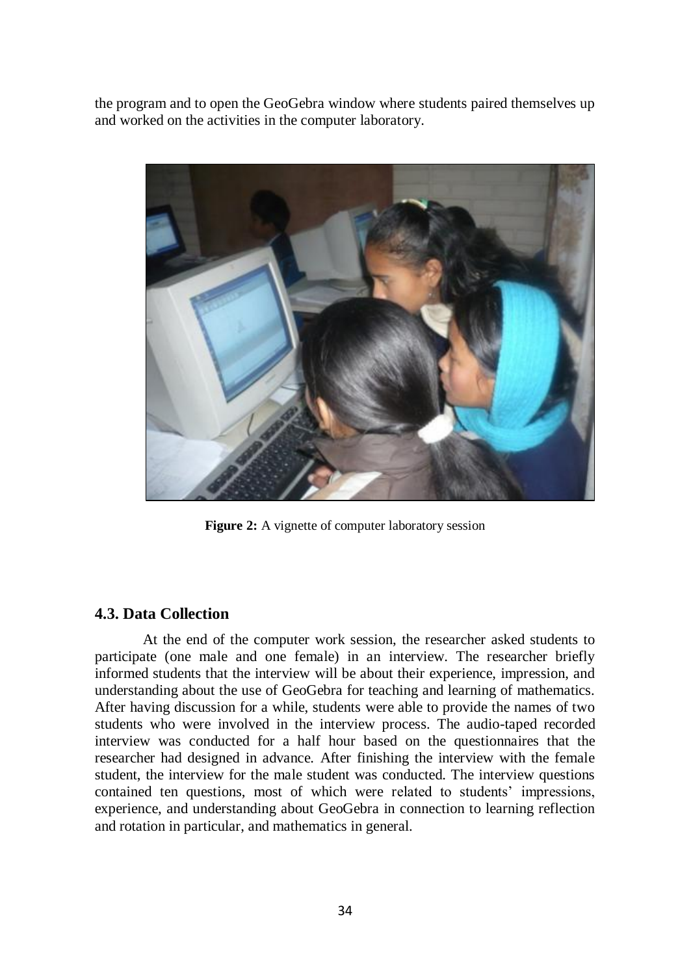the program and to open the GeoGebra window where students paired themselves up and worked on the activities in the computer laboratory.



**Figure 2:** A vignette of computer laboratory session

# **4.3. Data Collection**

At the end of the computer work session, the researcher asked students to participate (one male and one female) in an interview. The researcher briefly informed students that the interview will be about their experience, impression, and understanding about the use of GeoGebra for teaching and learning of mathematics. After having discussion for a while, students were able to provide the names of two students who were involved in the interview process. The audio-taped recorded interview was conducted for a half hour based on the questionnaires that the researcher had designed in advance. After finishing the interview with the female student, the interview for the male student was conducted. The interview questions contained ten questions, most of which were related to students' impressions, experience, and understanding about GeoGebra in connection to learning reflection and rotation in particular, and mathematics in general.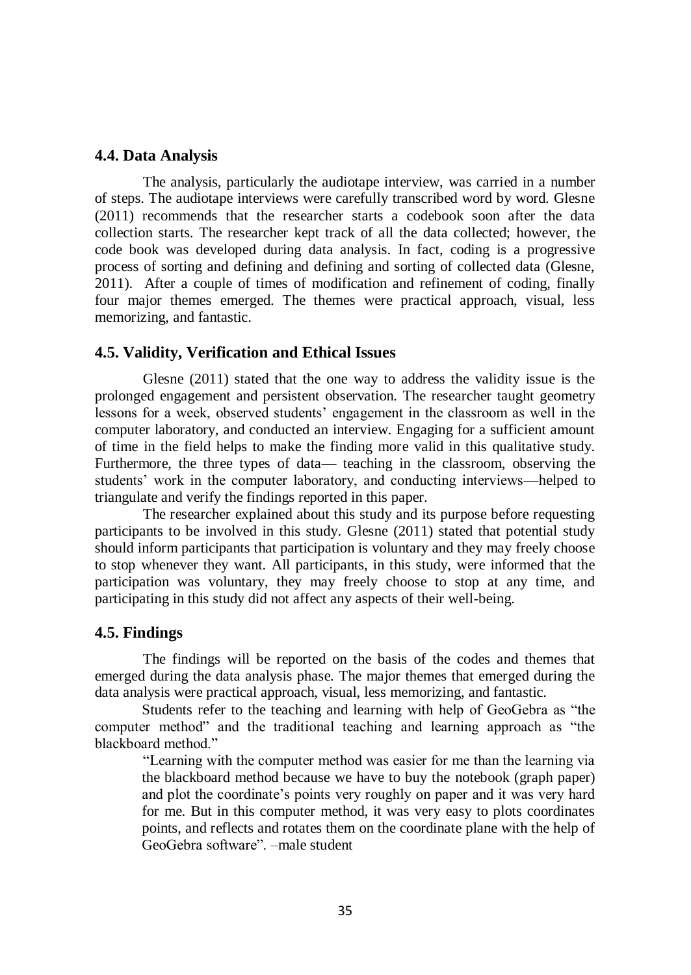### **4.4. Data Analysis**

The analysis, particularly the audiotape interview, was carried in a number of steps. The audiotape interviews were carefully transcribed word by word. Glesne (2011) recommends that the researcher starts a codebook soon after the data collection starts. The researcher kept track of all the data collected; however, the code book was developed during data analysis. In fact, coding is a progressive process of sorting and defining and defining and sorting of collected data (Glesne, 2011). After a couple of times of modification and refinement of coding, finally four major themes emerged. The themes were practical approach, visual, less memorizing, and fantastic.

#### **4.5. Validity, Verification and Ethical Issues**

Glesne (2011) stated that the one way to address the validity issue is the prolonged engagement and persistent observation. The researcher taught geometry lessons for a week, observed students' engagement in the classroom as well in the computer laboratory, and conducted an interview. Engaging for a sufficient amount of time in the field helps to make the finding more valid in this qualitative study. Furthermore, the three types of data— teaching in the classroom, observing the students' work in the computer laboratory, and conducting interviews—helped to triangulate and verify the findings reported in this paper.

The researcher explained about this study and its purpose before requesting participants to be involved in this study. Glesne (2011) stated that potential study should inform participants that participation is voluntary and they may freely choose to stop whenever they want. All participants, in this study, were informed that the participation was voluntary, they may freely choose to stop at any time, and participating in this study did not affect any aspects of their well-being.

# **4.5. Findings**

The findings will be reported on the basis of the codes and themes that emerged during the data analysis phase. The major themes that emerged during the data analysis were practical approach, visual, less memorizing, and fantastic.

Students refer to the teaching and learning with help of GeoGebra as "the computer method" and the traditional teaching and learning approach as "the blackboard method."

"Learning with the computer method was easier for me than the learning via the blackboard method because we have to buy the notebook (graph paper) and plot the coordinate's points very roughly on paper and it was very hard for me. But in this computer method, it was very easy to plots coordinates points, and reflects and rotates them on the coordinate plane with the help of GeoGebra software". –male student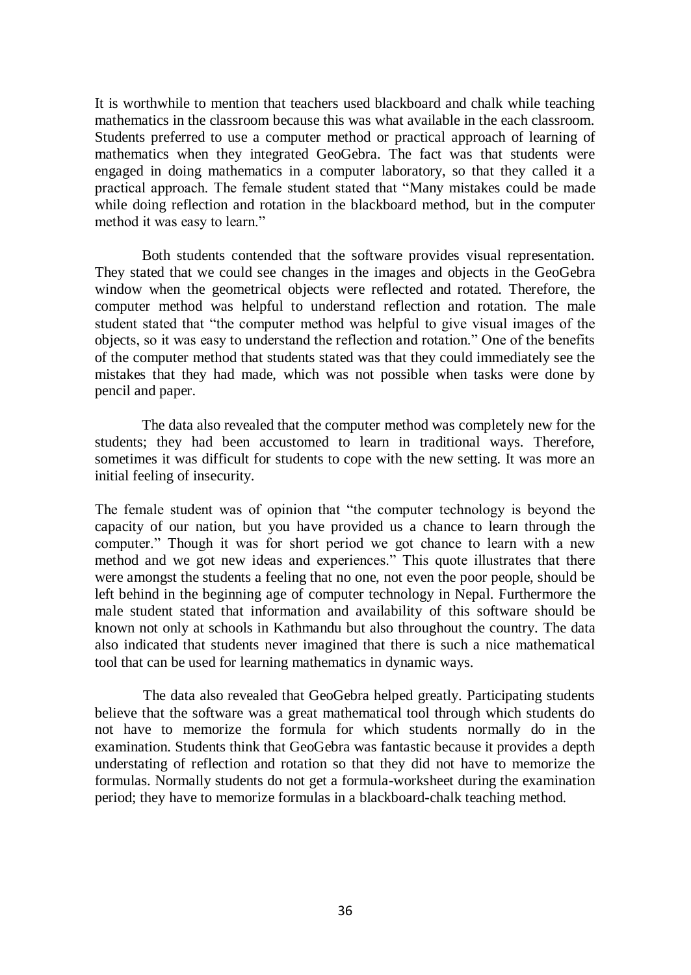It is worthwhile to mention that teachers used blackboard and chalk while teaching mathematics in the classroom because this was what available in the each classroom. Students preferred to use a computer method or practical approach of learning of mathematics when they integrated GeoGebra. The fact was that students were engaged in doing mathematics in a computer laboratory, so that they called it a practical approach. The female student stated that "Many mistakes could be made while doing reflection and rotation in the blackboard method, but in the computer method it was easy to learn."

Both students contended that the software provides visual representation. They stated that we could see changes in the images and objects in the GeoGebra window when the geometrical objects were reflected and rotated. Therefore, the computer method was helpful to understand reflection and rotation. The male student stated that "the computer method was helpful to give visual images of the objects, so it was easy to understand the reflection and rotation." One of the benefits of the computer method that students stated was that they could immediately see the mistakes that they had made, which was not possible when tasks were done by pencil and paper.

The data also revealed that the computer method was completely new for the students; they had been accustomed to learn in traditional ways. Therefore, sometimes it was difficult for students to cope with the new setting. It was more an initial feeling of insecurity.

The female student was of opinion that "the computer technology is beyond the capacity of our nation, but you have provided us a chance to learn through the computer." Though it was for short period we got chance to learn with a new method and we got new ideas and experiences." This quote illustrates that there were amongst the students a feeling that no one, not even the poor people, should be left behind in the beginning age of computer technology in Nepal. Furthermore the male student stated that information and availability of this software should be known not only at schools in Kathmandu but also throughout the country. The data also indicated that students never imagined that there is such a nice mathematical tool that can be used for learning mathematics in dynamic ways.

The data also revealed that GeoGebra helped greatly. Participating students believe that the software was a great mathematical tool through which students do not have to memorize the formula for which students normally do in the examination. Students think that GeoGebra was fantastic because it provides a depth understating of reflection and rotation so that they did not have to memorize the formulas. Normally students do not get a formula-worksheet during the examination period; they have to memorize formulas in a blackboard-chalk teaching method.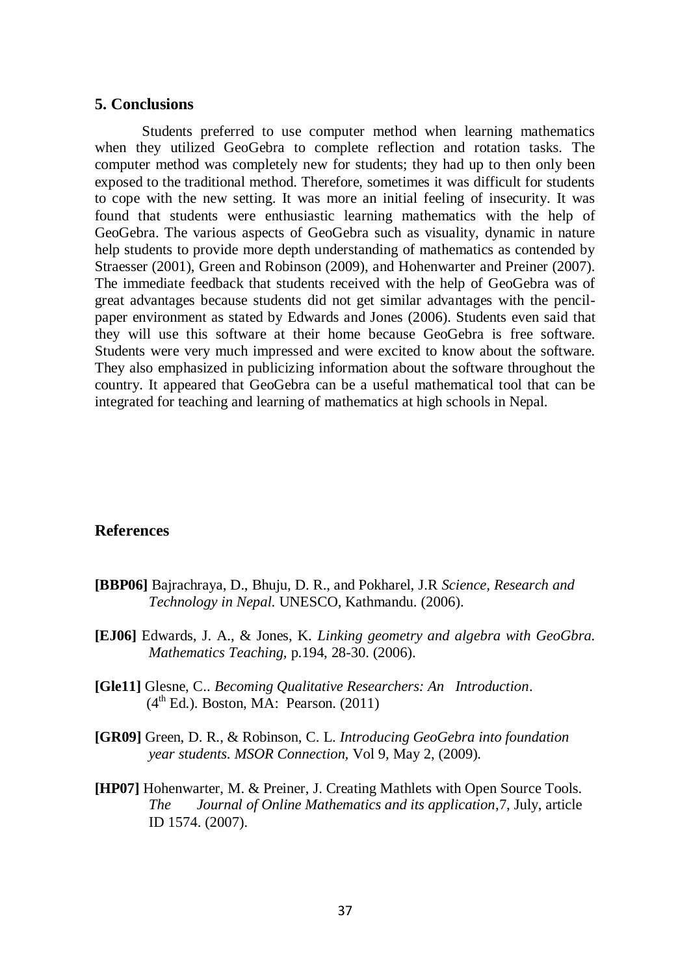#### **5. Conclusions**

Students preferred to use computer method when learning mathematics when they utilized GeoGebra to complete reflection and rotation tasks. The computer method was completely new for students; they had up to then only been exposed to the traditional method. Therefore, sometimes it was difficult for students to cope with the new setting. It was more an initial feeling of insecurity. It was found that students were enthusiastic learning mathematics with the help of GeoGebra. The various aspects of GeoGebra such as visuality, dynamic in nature help students to provide more depth understanding of mathematics as contended by Straesser (2001), Green and Robinson (2009), and Hohenwarter and Preiner (2007). The immediate feedback that students received with the help of GeoGebra was of great advantages because students did not get similar advantages with the pencilpaper environment as stated by Edwards and Jones (2006). Students even said that they will use this software at their home because GeoGebra is free software. Students were very much impressed and were excited to know about the software. They also emphasized in publicizing information about the software throughout the country. It appeared that GeoGebra can be a useful mathematical tool that can be integrated for teaching and learning of mathematics at high schools in Nepal.

#### **References**

- **[BBP06]** Bajrachraya, D., Bhuju, D. R., and Pokharel, J.R *Science, Research and Technology in Nepal*. UNESCO, Kathmandu. (2006).
- **[EJ06]** Edwards, J. A., & Jones, K. *Linking geometry and algebra with GeoGbra. Mathematics Teaching,* p.194, 28-30. (2006).
- **[Gle11]** Glesne, C.. *Becoming Qualitative Researchers: An Introduction*.  $(4<sup>th</sup> Ed.)$ . Boston, MA: Pearson.  $(2011)$
- **[GR09]** Green, D. R., & Robinson, C. L. *Introducing GeoGebra into foundation year students. MSOR Connection,* Vol 9, May 2, (2009).
- **[HP07]** Hohenwarter, M. & Preiner, J. Creating Mathlets with Open Source Tools. *The Journal of Online Mathematics and its application*,7, July, article ID 1574. (2007).